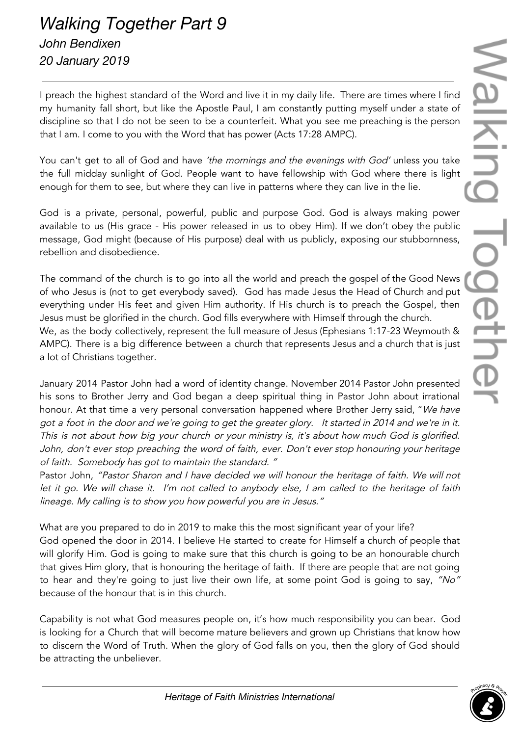## *Walking Together Part 9 John Bendixen 20 January 2019*

I preach the highest standard of the Word and live it in my daily life. There are times where I find my humanity fall short, but like the Apostle Paul, I am constantly putting myself under a state of discipline so that I do not be seen to be a counterfeit. What you see me preaching is the person that I am. I come to you with the Word that has power (Acts 17:28 AMPC).

You can't get to all of God and have 'the mornings and the evenings with God' unless you take the full midday sunlight of God. People want to have fellowship with God where there is light enough for them to see, but where they can live in patterns where they can live in the lie.

God is a private, personal, powerful, public and purpose God. God is always making power available to us (His grace - His power released in us to obey Him). If we don't obey the public message, God might (because of His purpose) deal with us publicly, exposing our stubbornness, rebellion and disobedience.

The command of the church is to go into all the world and preach the gospel of the Good News of who Jesus is (not to get everybody saved). God has made Jesus the Head of Church and put everything under His feet and given Him authority. If His church is to preach the Gospel, then Jesus must be glorified in the church. God fills everywhere with Himself through the church.

We, as the body collectively, represent the full measure of Jesus (Ephesians 1:17-23 Weymouth & AMPC). There is a big difference between a church that represents Jesus and a church that is just a lot of Christians together.

January 2014 Pastor John had a word of identity change. November 2014 Pastor John presented his sons to Brother Jerry and God began a deep spiritual thing in Pastor John about irrational honour. At that time a very personal conversation happened where Brother Jerry said, "We have got <sup>a</sup> foot in the door and we're going to get the greater glory. It started in 2014 and we're in it. This is not about how big your church or your ministry is, it's about how much God is glorified. John, don't ever stop preaching the word of faith, ever. Don't ever stop honouring your heritage of faith. Somebody has got to maintain the standard. "

Pastor John, "Pastor Sharon and I have decided we will honour the heritage of faith. We will not let it go. We will chase it. I'm not called to anybody else, I am called to the heritage of faith lineage. My calling is to show you how powerful you are in Jesus."

What are you prepared to do in 2019 to make this the most significant year of your life? God opened the door in 2014. I believe He started to create for Himself a church of people that will glorify Him. God is going to make sure that this church is going to be an honourable church that gives Him glory, that is honouring the heritage of faith. If there are people that are not going to hear and they're going to just live their own life, at some point God is going to say, "No" because of the honour that is in this church.

Capability is not what God measures people on, it's how much responsibility you can bear. God is looking for a Church that will become mature believers and grown up Christians that know how to discern the Word of Truth. When the glory of God falls on you, then the glory of God should be attracting the unbeliever.